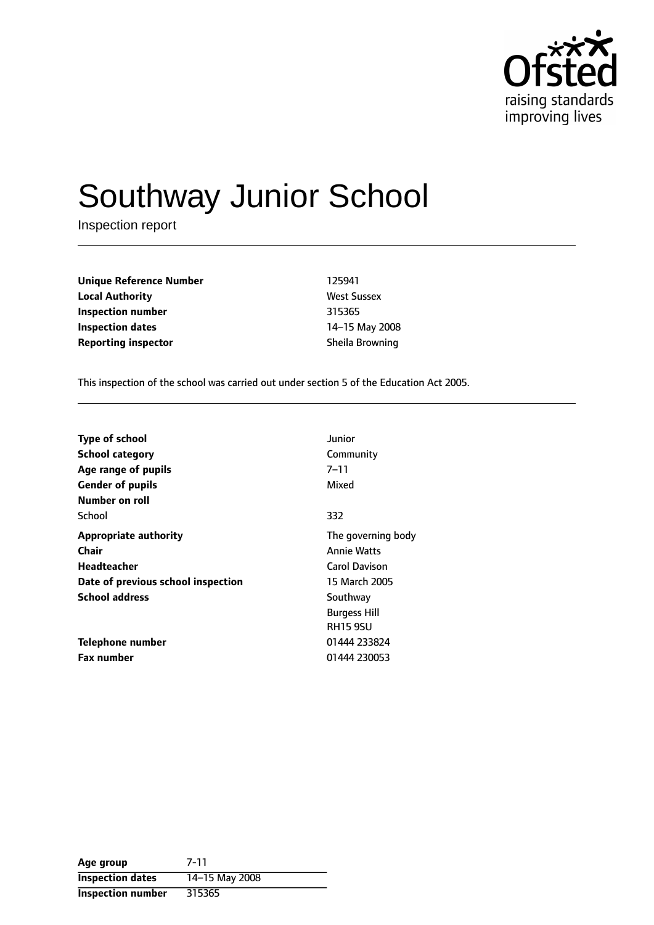

# Southway Junior School

Inspection report

| Unique Reference Number    | 125941             |
|----------------------------|--------------------|
| Local Authority            | <b>West Sussex</b> |
| Inspection number          | 315365             |
| Inspection dates           | 14-15 May 2008     |
| <b>Reporting inspector</b> | Sheila Browning    |
|                            |                    |

This inspection of the school was carried out under section 5 of the Education Act 2005.

| <b>Type of school</b>              | Junior              |
|------------------------------------|---------------------|
| <b>School category</b>             | Community           |
| Age range of pupils                | 7–11                |
| <b>Gender of pupils</b>            | Mixed               |
| Number on roll                     |                     |
| School                             | 332                 |
| <b>Appropriate authority</b>       | The governing body  |
| Chair                              | <b>Annie Watts</b>  |
| Headteacher                        | Carol Davison       |
| Date of previous school inspection | 15 March 2005       |
| <b>School address</b>              | Southway            |
|                                    | <b>Burgess Hill</b> |
|                                    | <b>RH15 9SU</b>     |
| Telephone number                   | 01444 233824        |
| <b>Fax number</b>                  | 01444 230053        |

| Age group                | $7 - 11$       |
|--------------------------|----------------|
| <b>Inspection dates</b>  | 14-15 May 2008 |
| <b>Inspection number</b> | 315365         |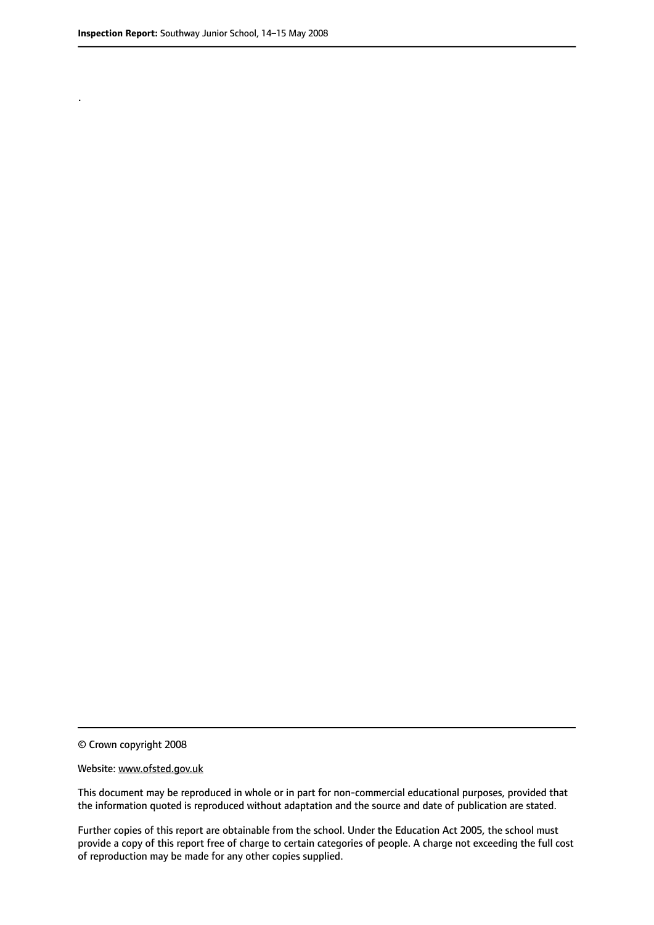.

© Crown copyright 2008

#### Website: www.ofsted.gov.uk

This document may be reproduced in whole or in part for non-commercial educational purposes, provided that the information quoted is reproduced without adaptation and the source and date of publication are stated.

Further copies of this report are obtainable from the school. Under the Education Act 2005, the school must provide a copy of this report free of charge to certain categories of people. A charge not exceeding the full cost of reproduction may be made for any other copies supplied.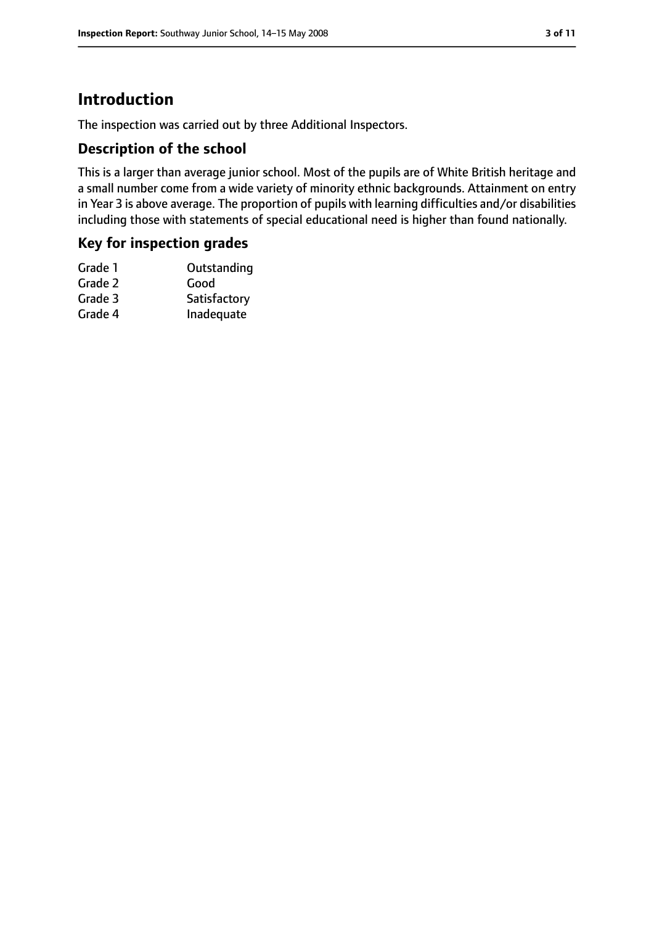# **Introduction**

The inspection was carried out by three Additional Inspectors.

### **Description of the school**

This is a larger than average junior school. Most of the pupils are of White British heritage and a small number come from a wide variety of minority ethnic backgrounds. Attainment on entry in Year 3 is above average. The proportion of pupils with learning difficulties and/or disabilities including those with statements of special educational need is higher than found nationally.

#### **Key for inspection grades**

| Satisfactory |
|--------------|
| Inadequate   |
|              |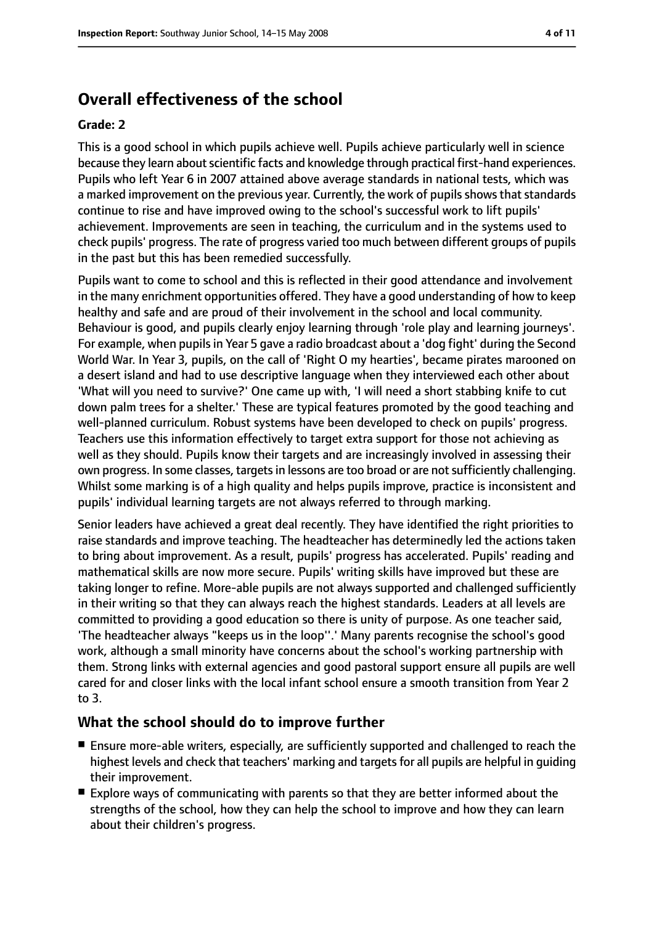# **Overall effectiveness of the school**

#### **Grade: 2**

This is a good school in which pupils achieve well. Pupils achieve particularly well in science because they learn about scientific facts and knowledge through practical first-hand experiences. Pupils who left Year 6 in 2007 attained above average standards in national tests, which was a marked improvement on the previous year. Currently, the work of pupils shows that standards continue to rise and have improved owing to the school's successful work to lift pupils' achievement. Improvements are seen in teaching, the curriculum and in the systems used to check pupils' progress. The rate of progress varied too much between different groups of pupils in the past but this has been remedied successfully.

Pupils want to come to school and this is reflected in their good attendance and involvement in the many enrichment opportunities offered. They have a good understanding of how to keep healthy and safe and are proud of their involvement in the school and local community. Behaviour is good, and pupils clearly enjoy learning through 'role play and learning journeys'. For example, when pupilsin Year 5 gave a radio broadcast about a 'dog fight' during the Second World War. In Year 3, pupils, on the call of 'Right O my hearties', became pirates marooned on a desert island and had to use descriptive language when they interviewed each other about 'What will you need to survive?' One came up with, 'I will need a short stabbing knife to cut down palm trees for a shelter.' These are typical features promoted by the good teaching and well-planned curriculum. Robust systems have been developed to check on pupils' progress. Teachers use this information effectively to target extra support for those not achieving as well as they should. Pupils know their targets and are increasingly involved in assessing their own progress. In some classes, targets in lessons are too broad or are not sufficiently challenging. Whilst some marking is of a high quality and helps pupils improve, practice is inconsistent and pupils' individual learning targets are not always referred to through marking.

Senior leaders have achieved a great deal recently. They have identified the right priorities to raise standards and improve teaching. The headteacher has determinedly led the actions taken to bring about improvement. As a result, pupils' progress has accelerated. Pupils' reading and mathematical skills are now more secure. Pupils' writing skills have improved but these are taking longer to refine. More-able pupils are not always supported and challenged sufficiently in their writing so that they can always reach the highest standards. Leaders at all levels are committed to providing a good education so there is unity of purpose. As one teacher said, 'The headteacher always "keeps us in the loop''.' Many parents recognise the school's good work, although a small minority have concerns about the school's working partnership with them. Strong links with external agencies and good pastoral support ensure all pupils are well cared for and closer links with the local infant school ensure a smooth transition from Year 2 to 3.

#### **What the school should do to improve further**

- Ensure more-able writers, especially, are sufficiently supported and challenged to reach the highest levels and check that teachers' marking and targets for all pupils are helpful in guiding their improvement.
- Explore ways of communicating with parents so that they are better informed about the strengths of the school, how they can help the school to improve and how they can learn about their children's progress.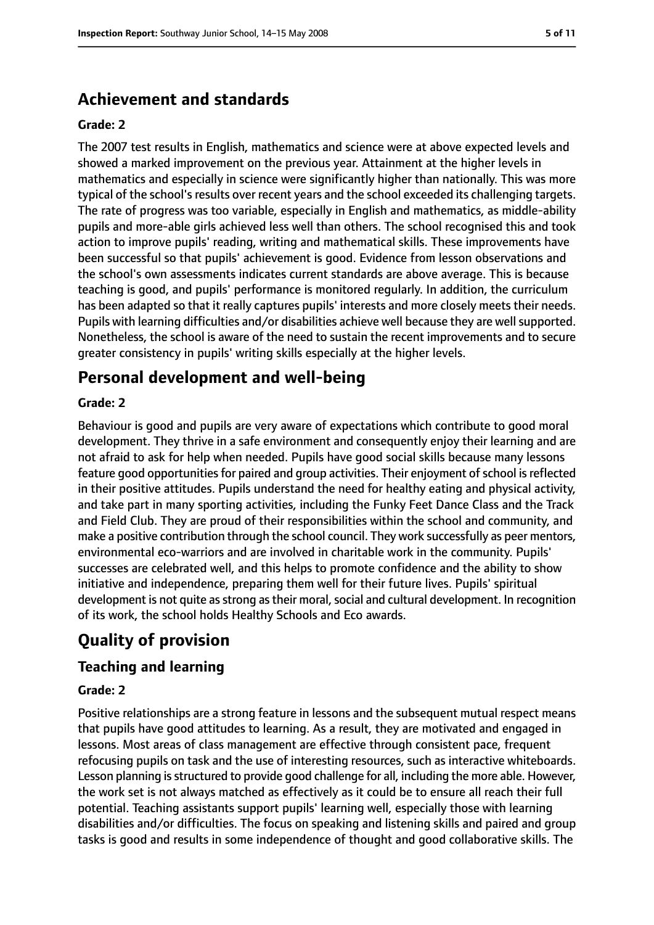# **Achievement and standards**

#### **Grade: 2**

The 2007 test results in English, mathematics and science were at above expected levels and showed a marked improvement on the previous year. Attainment at the higher levels in mathematics and especially in science were significantly higher than nationally. This was more typical of the school's results over recent years and the school exceeded its challenging targets. The rate of progress was too variable, especially in English and mathematics, as middle-ability pupils and more-able girls achieved less well than others. The school recognised this and took action to improve pupils' reading, writing and mathematical skills. These improvements have been successful so that pupils' achievement is good. Evidence from lesson observations and the school's own assessments indicates current standards are above average. This is because teaching is good, and pupils' performance is monitored regularly. In addition, the curriculum has been adapted so that it really captures pupils' interests and more closely meets their needs. Pupils with learning difficulties and/or disabilities achieve well because they are well supported. Nonetheless, the school is aware of the need to sustain the recent improvements and to secure greater consistency in pupils' writing skills especially at the higher levels.

# **Personal development and well-being**

#### **Grade: 2**

Behaviour is good and pupils are very aware of expectations which contribute to good moral development. They thrive in a safe environment and consequently enjoy their learning and are not afraid to ask for help when needed. Pupils have good social skills because many lessons feature good opportunities for paired and group activities. Their enjoyment of school is reflected in their positive attitudes. Pupils understand the need for healthy eating and physical activity, and take part in many sporting activities, including the Funky Feet Dance Class and the Track and Field Club. They are proud of their responsibilities within the school and community, and make a positive contribution through the school council. They work successfully as peer mentors, environmental eco-warriors and are involved in charitable work in the community. Pupils' successes are celebrated well, and this helps to promote confidence and the ability to show initiative and independence, preparing them well for their future lives. Pupils' spiritual development is not quite as strong as their moral, social and cultural development. In recognition of its work, the school holds Healthy Schools and Eco awards.

# **Quality of provision**

## **Teaching and learning**

#### **Grade: 2**

Positive relationships are a strong feature in lessons and the subsequent mutual respect means that pupils have good attitudes to learning. As a result, they are motivated and engaged in lessons. Most areas of class management are effective through consistent pace, frequent refocusing pupils on task and the use of interesting resources, such as interactive whiteboards. Lesson planning is structured to provide good challenge for all, including the more able. However, the work set is not always matched as effectively as it could be to ensure all reach their full potential. Teaching assistants support pupils' learning well, especially those with learning disabilities and/or difficulties. The focus on speaking and listening skills and paired and group tasks is good and results in some independence of thought and good collaborative skills. The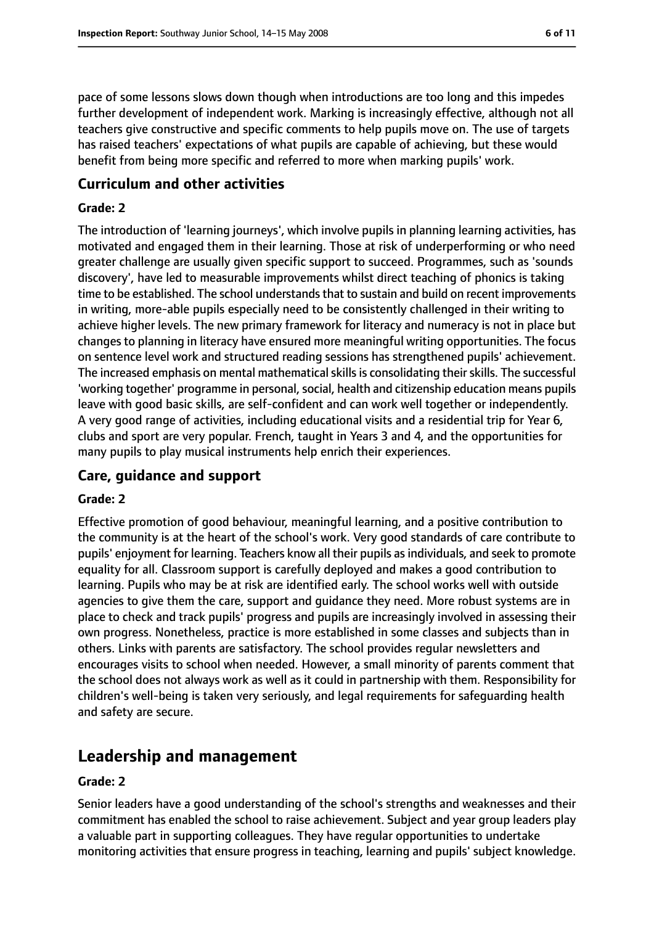pace of some lessons slows down though when introductions are too long and this impedes further development of independent work. Marking is increasingly effective, although not all teachers give constructive and specific comments to help pupils move on. The use of targets has raised teachers' expectations of what pupils are capable of achieving, but these would benefit from being more specific and referred to more when marking pupils' work.

### **Curriculum and other activities**

#### **Grade: 2**

The introduction of 'learning journeys', which involve pupils in planning learning activities, has motivated and engaged them in their learning. Those at risk of underperforming or who need greater challenge are usually given specific support to succeed. Programmes, such as 'sounds discovery', have led to measurable improvements whilst direct teaching of phonics is taking time to be established. The school understands that to sustain and build on recent improvements in writing, more-able pupils especially need to be consistently challenged in their writing to achieve higher levels. The new primary framework for literacy and numeracy is not in place but changes to planning in literacy have ensured more meaningful writing opportunities. The focus on sentence level work and structured reading sessions has strengthened pupils' achievement. The increased emphasis on mental mathematical skills is consolidating their skills. The successful 'working together' programme in personal, social, health and citizenship education means pupils leave with good basic skills, are self-confident and can work well together or independently. A very good range of activities, including educational visits and a residential trip for Year 6, clubs and sport are very popular. French, taught in Years 3 and 4, and the opportunities for many pupils to play musical instruments help enrich their experiences.

## **Care, guidance and support**

#### **Grade: 2**

Effective promotion of good behaviour, meaningful learning, and a positive contribution to the community is at the heart of the school's work. Very good standards of care contribute to pupils' enjoyment for learning. Teachers know all their pupils as individuals, and seek to promote equality for all. Classroom support is carefully deployed and makes a good contribution to learning. Pupils who may be at risk are identified early. The school works well with outside agencies to give them the care, support and guidance they need. More robust systems are in place to check and track pupils' progress and pupils are increasingly involved in assessing their own progress. Nonetheless, practice is more established in some classes and subjects than in others. Links with parents are satisfactory. The school provides regular newsletters and encourages visits to school when needed. However, a small minority of parents comment that the school does not always work as well as it could in partnership with them. Responsibility for children's well-being is taken very seriously, and legal requirements for safeguarding health and safety are secure.

# **Leadership and management**

#### **Grade: 2**

Senior leaders have a good understanding of the school's strengths and weaknesses and their commitment has enabled the school to raise achievement. Subject and year group leaders play a valuable part in supporting colleagues. They have regular opportunities to undertake monitoring activities that ensure progress in teaching, learning and pupils' subject knowledge.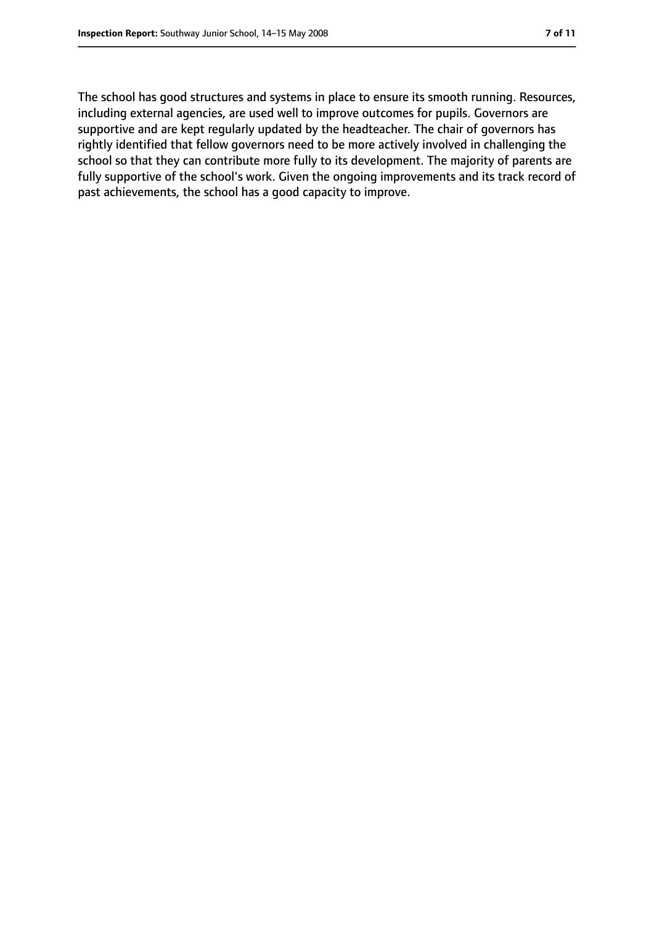The school has good structures and systems in place to ensure its smooth running. Resources, including external agencies, are used well to improve outcomes for pupils. Governors are supportive and are kept regularly updated by the headteacher. The chair of governors has rightly identified that fellow governors need to be more actively involved in challenging the school so that they can contribute more fully to its development. The majority of parents are fully supportive of the school's work. Given the ongoing improvements and its track record of past achievements, the school has a good capacity to improve.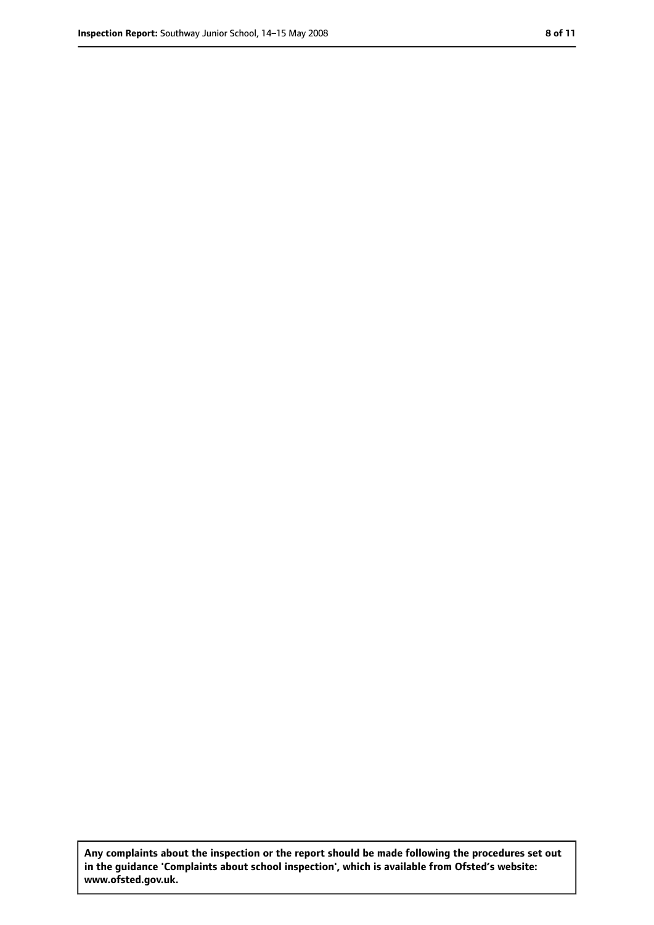**Any complaints about the inspection or the report should be made following the procedures set out in the guidance 'Complaints about school inspection', which is available from Ofsted's website: www.ofsted.gov.uk.**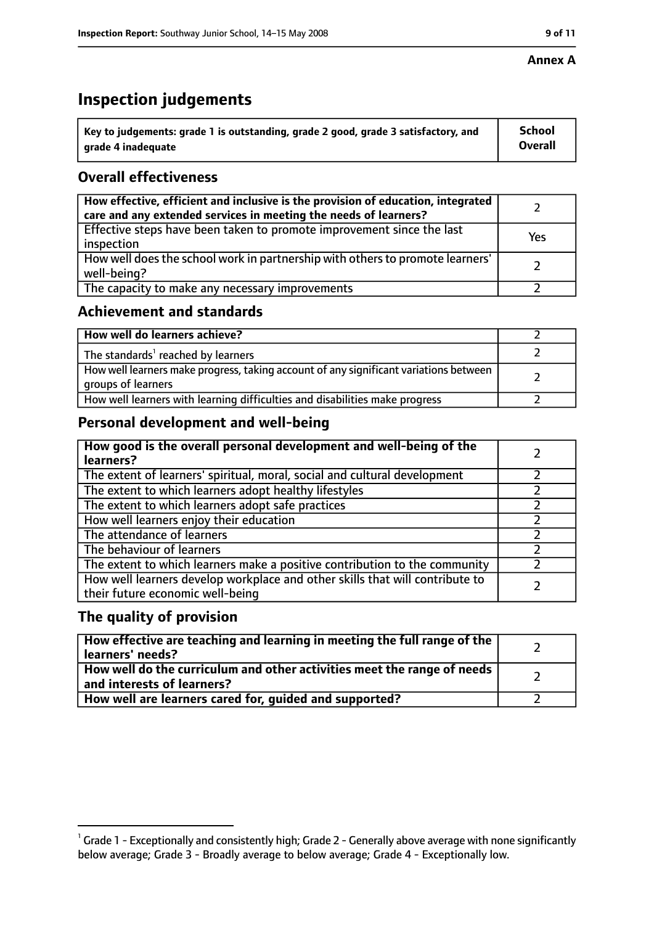#### **Annex A**

# **Inspection judgements**

| $^{\backprime}$ Key to judgements: grade 1 is outstanding, grade 2 good, grade 3 satisfactory, and | <b>School</b>  |
|----------------------------------------------------------------------------------------------------|----------------|
| arade 4 inadequate                                                                                 | <b>Overall</b> |

## **Overall effectiveness**

| How effective, efficient and inclusive is the provision of education, integrated<br>care and any extended services in meeting the needs of learners? |     |
|------------------------------------------------------------------------------------------------------------------------------------------------------|-----|
| Effective steps have been taken to promote improvement since the last<br>inspection                                                                  | Yes |
| How well does the school work in partnership with others to promote learners'<br>well-being?                                                         |     |
| The capacity to make any necessary improvements                                                                                                      |     |

## **Achievement and standards**

| How well do learners achieve?                                                                               |  |
|-------------------------------------------------------------------------------------------------------------|--|
| The standards <sup>1</sup> reached by learners                                                              |  |
| How well learners make progress, taking account of any significant variations between<br>groups of learners |  |
| How well learners with learning difficulties and disabilities make progress                                 |  |

# **Personal development and well-being**

| How good is the overall personal development and well-being of the<br>learners?                                  |  |
|------------------------------------------------------------------------------------------------------------------|--|
| The extent of learners' spiritual, moral, social and cultural development                                        |  |
| The extent to which learners adopt healthy lifestyles                                                            |  |
| The extent to which learners adopt safe practices                                                                |  |
| How well learners enjoy their education                                                                          |  |
| The attendance of learners                                                                                       |  |
| The behaviour of learners                                                                                        |  |
| The extent to which learners make a positive contribution to the community                                       |  |
| How well learners develop workplace and other skills that will contribute to<br>their future economic well-being |  |

### **The quality of provision**

| $\mid$ How effective are teaching and learning in meeting the full range of the $\mid$<br>learners' needs? |  |
|------------------------------------------------------------------------------------------------------------|--|
| How well do the curriculum and other activities meet the range of needs  <br>and interests of learners?    |  |
| How well are learners cared for, guided and supported?                                                     |  |

 $^1$  Grade 1 - Exceptionally and consistently high; Grade 2 - Generally above average with none significantly below average; Grade 3 - Broadly average to below average; Grade 4 - Exceptionally low.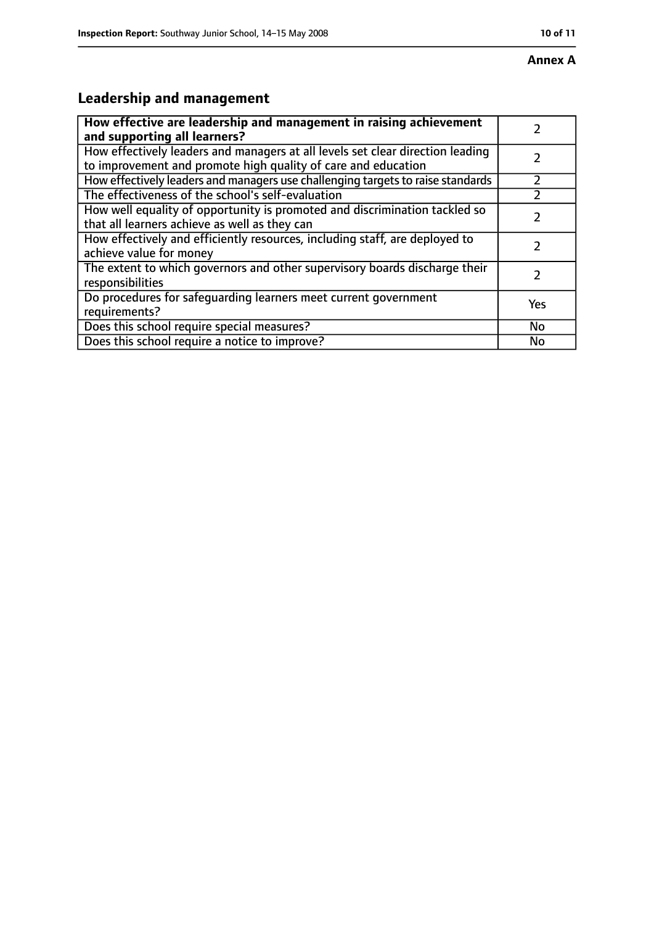# **Leadership and management**

| How effective are leadership and management in raising achievement<br>and supporting all learners?                                              |     |
|-------------------------------------------------------------------------------------------------------------------------------------------------|-----|
| How effectively leaders and managers at all levels set clear direction leading<br>to improvement and promote high quality of care and education |     |
| How effectively leaders and managers use challenging targets to raise standards                                                                 |     |
| The effectiveness of the school's self-evaluation                                                                                               |     |
| How well equality of opportunity is promoted and discrimination tackled so<br>that all learners achieve as well as they can                     |     |
| How effectively and efficiently resources, including staff, are deployed to<br>achieve value for money                                          | 7   |
| The extent to which governors and other supervisory boards discharge their<br>responsibilities                                                  |     |
| Do procedures for safequarding learners meet current government<br>requirements?                                                                | Yes |
| Does this school require special measures?                                                                                                      | No  |
| Does this school require a notice to improve?                                                                                                   | No  |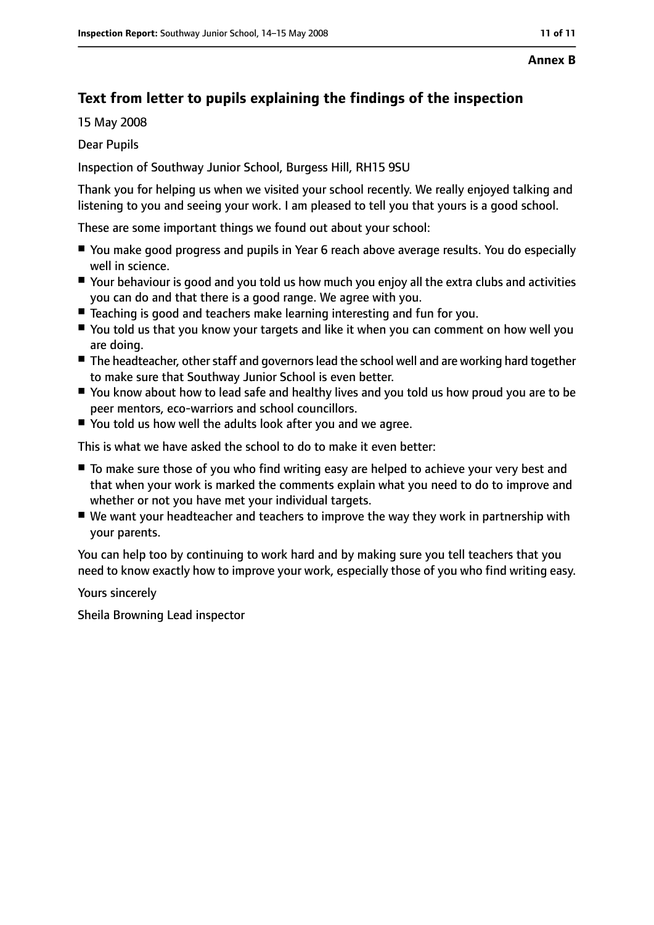#### **Annex B**

# **Text from letter to pupils explaining the findings of the inspection**

15 May 2008

Dear Pupils

Inspection of Southway Junior School, Burgess Hill, RH15 9SU

Thank you for helping us when we visited your school recently. We really enjoyed talking and listening to you and seeing your work. I am pleased to tell you that yours is a good school.

These are some important things we found out about your school:

- You make good progress and pupils in Year 6 reach above average results. You do especially well in science.
- Your behaviour is good and you told us how much you enjoy all the extra clubs and activities you can do and that there is a good range. We agree with you.
- Teaching is good and teachers make learning interesting and fun for you.
- You told us that you know your targets and like it when you can comment on how well you are doing.
- The headteacher, other staff and governors lead the school well and are working hard together to make sure that Southway Junior School is even better.
- You know about how to lead safe and healthy lives and you told us how proud you are to be peer mentors, eco-warriors and school councillors.
- You told us how well the adults look after you and we agree.

This is what we have asked the school to do to make it even better:

- To make sure those of you who find writing easy are helped to achieve your very best and that when your work is marked the comments explain what you need to do to improve and whether or not you have met your individual targets.
- We want your headteacher and teachers to improve the way they work in partnership with your parents.

You can help too by continuing to work hard and by making sure you tell teachers that you need to know exactly how to improve your work, especially those of you who find writing easy.

Yours sincerely

Sheila Browning Lead inspector